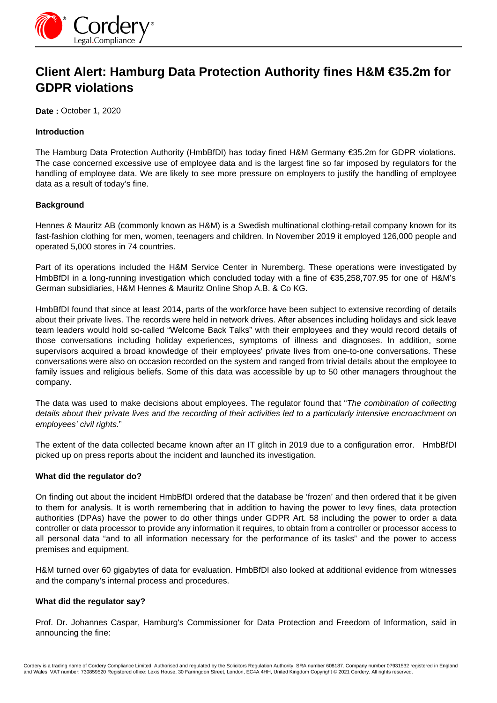

# **Client Alert: Hamburg Data Protection Authority fines H&M €35.2m for GDPR violations**

**Date :** October 1, 2020

## **Introduction**

The Hamburg Data Protection Authority (HmbBfDI) has today fined H&M Germany €35.2m for GDPR violations. The case concerned excessive use of employee data and is the largest fine so far imposed by regulators for the handling of employee data. We are likely to see more pressure on employers to justify the handling of employee data as a result of today's fine.

### **Background**

Hennes & Mauritz AB (commonly known as H&M) is a Swedish multinational clothing-retail company known for its fast-fashion clothing for men, women, teenagers and children. In November 2019 it employed 126,000 people and operated 5,000 stores in 74 countries.

Part of its operations included the H&M Service Center in Nuremberg. These operations were investigated by HmbBfDI in a long-running investigation which concluded today with a fine of €35,258,707.95 for one of H&M's German subsidiaries, H&M Hennes & Mauritz Online Shop A.B. & Co KG.

HmbBfDI found that since at least 2014, parts of the workforce have been subject to extensive recording of details about their private lives. The records were held in network drives. After absences including holidays and sick leave team leaders would hold so-called "Welcome Back Talks" with their employees and they would record details of those conversations including holiday experiences, symptoms of illness and diagnoses. In addition, some supervisors acquired a broad knowledge of their employees' private lives from one-to-one conversations. These conversations were also on occasion recorded on the system and ranged from trivial details about the employee to family issues and religious beliefs. Some of this data was accessible by up to 50 other managers throughout the company.

The data was used to make decisions about employees. The regulator found that "The combination of collecting details about their private lives and the recording of their activities led to a particularly intensive encroachment on employees' civil rights."

The extent of the data collected became known after an IT glitch in 2019 due to a configuration error. HmbBfDI picked up on press reports about the incident and launched its investigation.

#### **What did the regulator do?**

On finding out about the incident HmbBfDI ordered that the database be 'frozen' and then ordered that it be given to them for analysis. It is worth remembering that in addition to having the power to levy fines, data protection authorities (DPAs) have the power to do other things under GDPR Art. 58 including the power to order a data controller or data processor to provide any information it requires, to obtain from a controller or processor access to all personal data "and to all information necessary for the performance of its tasks" and the power to access premises and equipment.

H&M turned over 60 gigabytes of data for evaluation. HmbBfDI also looked at additional evidence from witnesses and the company's internal process and procedures.

# **What did the regulator say?**

Prof. Dr. Johannes Caspar, Hamburg's Commissioner for Data Protection and Freedom of Information, said in announcing the fine: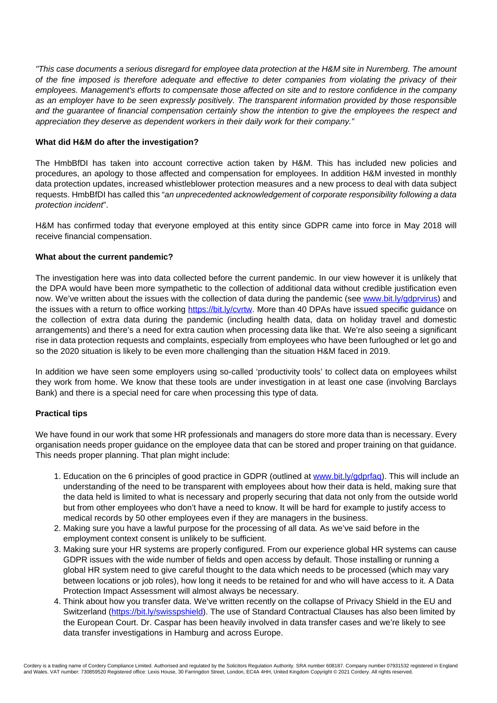"This case documents a serious disregard for employee data protection at the H&M site in Nuremberg. The amount of the fine imposed is therefore adequate and effective to deter companies from violating the privacy of their employees. Management's efforts to compensate those affected on site and to restore confidence in the company as an employer have to be seen expressly positively. The transparent information provided by those responsible and the guarantee of financial compensation certainly show the intention to give the employees the respect and appreciation they deserve as dependent workers in their daily work for their company."

## **What did H&M do after the investigation?**

The HmbBfDI has taken into account corrective action taken by H&M. This has included new policies and procedures, an apology to those affected and compensation for employees. In addition H&M invested in monthly data protection updates, increased whistleblower protection measures and a new process to deal with data subject requests. HmbBfDI has called this "an unprecedented acknowledgement of corporate responsibility following a data protection incident".

H&M has confirmed today that everyone employed at this entity since GDPR came into force in May 2018 will receive financial compensation.

### **What about the current pandemic?**

The investigation here was into data collected before the current pandemic. In our view however it is unlikely that the DPA would have been more sympathetic to the collection of additional data without credible justification even now. We've written about the issues with the collection of data during the pandemic (see [www.bit.ly/gdprvirus](http://www.bit.ly/gdprvirus)) and the issues with a return to office working https://bit.ly/cvrtw. More than 40 DPAs have issued specific guidance on the collection of extra data during the pandemic (including health data, data on holiday travel and domestic arrangements) and there's a need for extra caution when processing data like that. We're also seeing a significant rise in data protection requests and complaints, especially from employees who have been furloughed or let go and so the 2020 situation is likely to be even more challenging than the situation H&M faced in 2019.

In addition we have seen some employers using so-called 'productivity tools' to collect data on employees whilst they work from home. We know that these tools are under investigation in at least one case (involving Barclays Bank) and there is a special need for care when processing this type of data.

#### **Practical tips**

We have found in our work that some HR professionals and managers do store more data than is necessary. Every organisation needs proper guidance on the employee data that can be stored and proper training on that guidance. This needs proper planning. That plan might include:

- 1. Education on the 6 principles of good practice in GDPR (outlined at www.bit.ly/gdprfaq). This will include an understanding of the need to be transparent with employees about how their data is held, making sure that the data held is limited to what is necessary and properly securing that data not only from the outside world but from other employees who don't have a need to know. It will be hard for example to justify access to medical records by 50 other employees even if they are managers in the business.
- 2. Making sure you have a lawful purpose for the processing of all data. As we've said before in the employment context consent is unlikely to be sufficient.
- 3. Making sure your HR systems are properly configured. From our experience global HR systems can cause GDPR issues with the wide number of fields and open access by default. Those installing or running a global HR system need to give careful thought to the data which needs to be processed (which may vary between locations or job roles), how long it needs to be retained for and who will have access to it. A Data Protection Impact Assessment will almost always be necessary.
- 4. Think about how you transfer data. We've written recently on the collapse of Privacy Shield in the EU and Switzerland (https://bit.ly/swisspshield). The use of Standard Contractual Clauses has also been limited by the European Court. Dr. Caspar has been heavily involved in data transfer cases and we're likely to see data transfer investigations in Hamburg and across Europe.